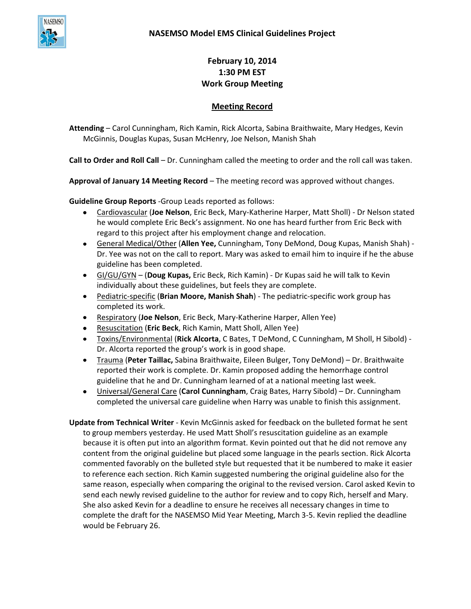## **February 10, 2014 1:30 PM EST Work Group Meeting**

## **Meeting Record**

**Attending** – Carol Cunningham, Rich Kamin, Rick Alcorta, Sabina Braithwaite, Mary Hedges, Kevin McGinnis, Douglas Kupas, Susan McHenry, Joe Nelson, Manish Shah

**Call to Order and Roll Call** – Dr. Cunningham called the meeting to order and the roll call was taken.

**Approval of January 14 Meeting Record** – The meeting record was approved without changes.

**Guideline Group Reports** -Group Leads reported as follows:

- Cardiovascular (**Joe Nelson**, Eric Beck, Mary-Katherine Harper, Matt Sholl) Dr Nelson stated he would complete Eric Beck's assignment. No one has heard further from Eric Beck with regard to this project after his employment change and relocation.
- General Medical/Other (**Allen Yee,** Cunningham, Tony DeMond, Doug Kupas, Manish Shah) Dr. Yee was not on the call to report. Mary was asked to email him to inquire if he the abuse guideline has been completed.
- GI/GU/GYN (**Doug Kupas,** Eric Beck, Rich Kamin) Dr Kupas said he will talk to Kevin individually about these guidelines, but feels they are complete.
- Pediatric-specific (**Brian Moore, Manish Shah**) The pediatric-specific work group has completed its work.
- Respiratory (**Joe Nelson**, Eric Beck, Mary-Katherine Harper, Allen Yee)
- Resuscitation (**Eric Beck**, Rich Kamin, Matt Sholl, Allen Yee)
- Toxins/Environmental (**Rick Alcorta**, C Bates, T DeMond, C Cunningham, M Sholl, H Sibold) Dr. Alcorta reported the group's work is in good shape.
- Trauma (**Peter Taillac,** Sabina Braithwaite, Eileen Bulger, Tony DeMond) Dr. Braithwaite  $\bullet$ reported their work is complete. Dr. Kamin proposed adding the hemorrhage control guideline that he and Dr. Cunningham learned of at a national meeting last week.
- Universal/General Care (**Carol Cunningham**, Craig Bates, Harry Sibold) Dr. Cunningham completed the universal care guideline when Harry was unable to finish this assignment.
- **Update from Technical Writer** Kevin McGinnis asked for feedback on the bulleted format he sent to group members yesterday. He used Matt Sholl's resuscitation guideline as an example because it is often put into an algorithm format. Kevin pointed out that he did not remove any content from the original guideline but placed some language in the pearls section. Rick Alcorta commented favorably on the bulleted style but requested that it be numbered to make it easier to reference each section. Rich Kamin suggested numbering the original guideline also for the same reason, especially when comparing the original to the revised version. Carol asked Kevin to send each newly revised guideline to the author for review and to copy Rich, herself and Mary. She also asked Kevin for a deadline to ensure he receives all necessary changes in time to complete the draft for the NASEMSO Mid Year Meeting, March 3-5. Kevin replied the deadline would be February 26.